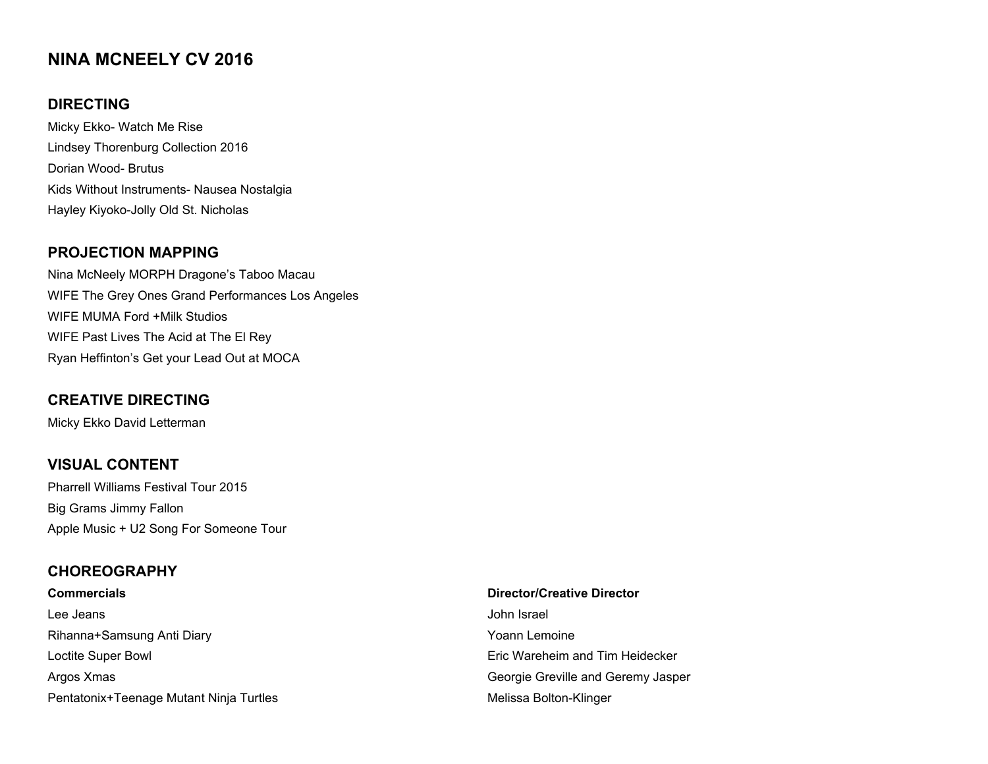# **NINA MCNEELY CV 2016**

# **DIRECTING**

Micky Ekko- Watch Me Rise Lindsey Thorenburg Collection 2016 Dorian Wood- Brutus Kids Without Instruments- Nausea Nostalgia Hayley Kiyoko-Jolly Old St. Nicholas

### **PROJECTION MAPPING**

Nina McNeely MORPH Dragone's Taboo Macau WIFE The Grey Ones Grand Performances Los Angeles WIFE MUMA Ford +Milk Studios WIFE Past Lives The Acid at The El Rey Ryan Heffinton's Get your Lead Out at MOCA

# **CREATIVE DIRECTING**

Micky Ekko David Letterman

## **VISUAL CONTENT**

Pharrell Williams Festival Tour 2015 Big Grams Jimmy Fallon Apple Music + U2 Song For Someone Tour

#### **CHOREOGRAPHY**

| <b>Commercials</b>                      | <b>Director/Creative Director</b>  |
|-----------------------------------------|------------------------------------|
| Lee Jeans                               | John Israel                        |
| Rihanna+Samsung Anti Diary              | Yoann Lemoine                      |
| Loctite Super Bowl                      | Eric Wareheim and Tim Heidecker    |
| Argos Xmas                              | Georgie Greville and Geremy Jasper |
| Pentatonix+Teenage Mutant Ninja Turtles | Melissa Bolton-Klinger             |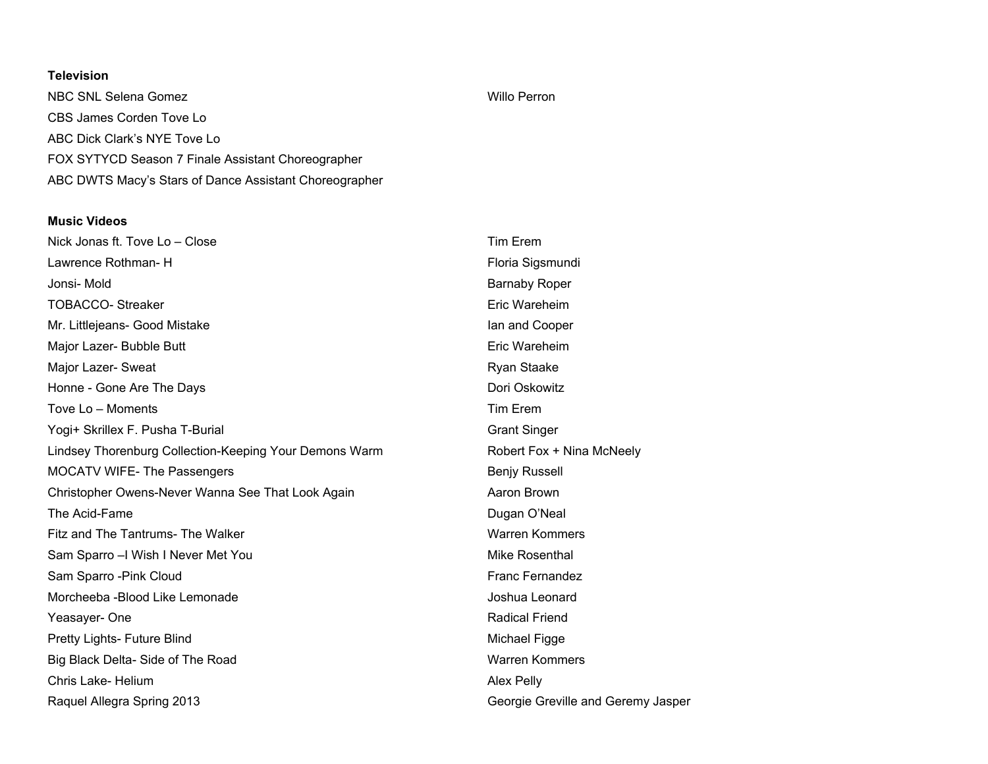#### **Television**

NBC SNL Selena Gomez **Willo Perron** CBS James Corden Tove Lo ABC Dick Clark's NYE Tove Lo FOX SYTYCD Season 7 Finale Assistant Choreographer ABC DWTS Macy's Stars of Dance Assistant Choreographer

#### **Music Videos**

| Nick Jonas ft. Tove Lo - Close                         | <b>Tim Erem</b>                    |
|--------------------------------------------------------|------------------------------------|
| Lawrence Rothman-H                                     | Floria Sigsmundi                   |
| Jonsi-Mold                                             | <b>Barnaby Roper</b>               |
| <b>TOBACCO- Streaker</b>                               | Eric Wareheim                      |
| Mr. Littlejeans- Good Mistake                          | lan and Cooper                     |
| Major Lazer- Bubble Butt                               | Eric Wareheim                      |
| Major Lazer- Sweat                                     | Ryan Staake                        |
| Honne - Gone Are The Days                              | Dori Oskowitz                      |
| Tove Lo - Moments                                      | Tim Erem                           |
| Yogi+ Skrillex F. Pusha T-Burial                       | <b>Grant Singer</b>                |
| Lindsey Thorenburg Collection-Keeping Your Demons Warm | Robert Fox + Nina McNeely          |
| <b>MOCATV WIFE- The Passengers</b>                     | <b>Benjy Russell</b>               |
| Christopher Owens-Never Wanna See That Look Again      | Aaron Brown                        |
| The Acid-Fame                                          | Dugan O'Neal                       |
| Fitz and The Tantrums- The Walker                      | <b>Warren Kommers</b>              |
| Sam Sparro - I Wish I Never Met You                    | Mike Rosenthal                     |
| Sam Sparro - Pink Cloud                                | <b>Franc Fernandez</b>             |
| Morcheeba - Blood Like Lemonade                        | Joshua Leonard                     |
| Yeasayer-One                                           | <b>Radical Friend</b>              |
| Pretty Lights- Future Blind                            | Michael Figge                      |
| Big Black Delta- Side of The Road                      | <b>Warren Kommers</b>              |
| Chris Lake-Helium                                      | Alex Pelly                         |
| Raquel Allegra Spring 2013                             | Georgie Greville and Geremy Jasper |